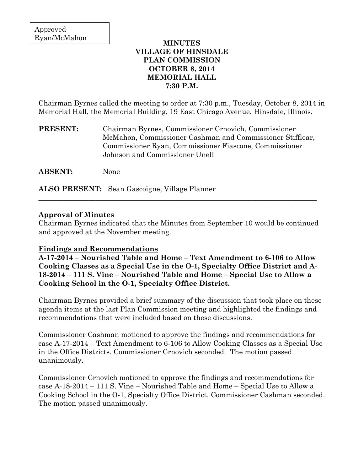## **MINUTES VILLAGE OF HINSDALE PLAN COMMISSION OCTOBER 8, 2014 MEMORIAL HALL 7:30 P.M.**

Chairman Byrnes called the meeting to order at 7:30 p.m., Tuesday, October 8, 2014 in Memorial Hall, the Memorial Building, 19 East Chicago Avenue, Hinsdale, Illinois.

**PRESENT:** Chairman Byrnes, Commissioner Crnovich, Commissioner McMahon, Commissioner Cashman and Commissioner Stifflear, Commissioner Ryan, Commissioner Fiascone, Commissioner Johnson and Commissioner Unell

**ABSENT:** None

**ALSO PRESENT:** Sean Gascoigne, Village Planner

## **Approval of Minutes**

Chairman Byrnes indicated that the Minutes from September 10 would be continued and approved at the November meeting.

\_\_\_\_\_\_\_\_\_\_\_\_\_\_\_\_\_\_\_\_\_\_\_\_\_\_\_\_\_\_\_\_\_\_\_\_\_\_\_\_\_\_\_\_\_\_\_\_\_\_\_\_\_\_\_\_\_\_\_\_\_\_\_\_\_\_\_\_\_\_\_\_\_\_\_\_\_\_

#### **Findings and Recommendations**

**A-17-2014 – Nourished Table and Home – Text Amendment to 6-106 to Allow Cooking Classes as a Special Use in the O-1, Specialty Office District and A-18-2014 – 111 S. Vine – Nourished Table and Home – Special Use to Allow a Cooking School in the O-1, Specialty Office District.**

Chairman Byrnes provided a brief summary of the discussion that took place on these agenda items at the last Plan Commission meeting and highlighted the findings and recommendations that were included based on these discussions.

Commissioner Cashman motioned to approve the findings and recommendations for case A-17-2014 – Text Amendment to 6-106 to Allow Cooking Classes as a Special Use in the Office Districts. Commissioner Crnovich seconded. The motion passed unanimously.

Commissioner Crnovich motioned to approve the findings and recommendations for case A-18-2014 – 111 S. Vine – Nourished Table and Home – Special Use to Allow a Cooking School in the O-1, Specialty Office District. Commissioner Cashman seconded. The motion passed unanimously.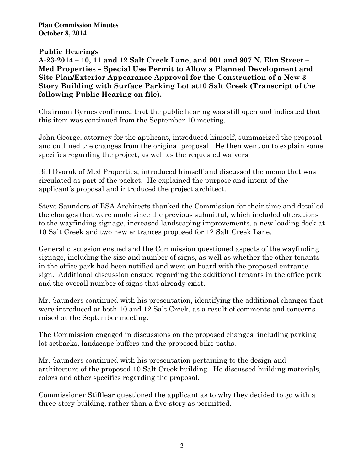**Plan Commission Minutes October 8, 2014** 

## **Public Hearings**

**A-23-2014 – 10, 11 and 12 Salt Creek Lane, and 901 and 907 N. Elm Street – Med Properties – Special Use Permit to Allow a Planned Development and Site Plan/Exterior Appearance Approval for the Construction of a New 3- Story Building with Surface Parking Lot at10 Salt Creek (Transcript of the following Public Hearing on file).** 

Chairman Byrnes confirmed that the public hearing was still open and indicated that this item was continued from the September 10 meeting.

John George, attorney for the applicant, introduced himself, summarized the proposal and outlined the changes from the original proposal. He then went on to explain some specifics regarding the project, as well as the requested waivers.

Bill Dvorak of Med Properties, introduced himself and discussed the memo that was circulated as part of the packet. He explained the purpose and intent of the applicant's proposal and introduced the project architect.

Steve Saunders of ESA Architects thanked the Commission for their time and detailed the changes that were made since the previous submittal, which included alterations to the wayfinding signage, increased landscaping improvements, a new loading dock at 10 Salt Creek and two new entrances proposed for 12 Salt Creek Lane.

General discussion ensued and the Commission questioned aspects of the wayfinding signage, including the size and number of signs, as well as whether the other tenants in the office park had been notified and were on board with the proposed entrance sign. Additional discussion ensued regarding the additional tenants in the office park and the overall number of signs that already exist.

Mr. Saunders continued with his presentation, identifying the additional changes that were introduced at both 10 and 12 Salt Creek, as a result of comments and concerns raised at the September meeting.

The Commission engaged in discussions on the proposed changes, including parking lot setbacks, landscape buffers and the proposed bike paths.

Mr. Saunders continued with his presentation pertaining to the design and architecture of the proposed 10 Salt Creek building. He discussed building materials, colors and other specifics regarding the proposal.

Commissioner Stifflear questioned the applicant as to why they decided to go with a three-story building, rather than a five-story as permitted.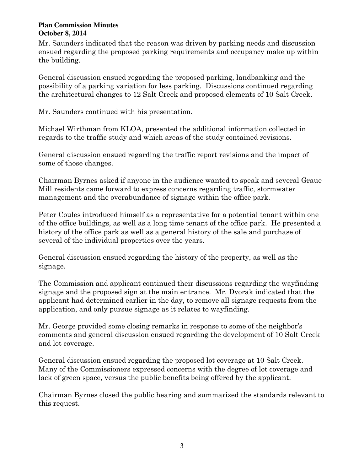#### **Plan Commission Minutes October 8, 2014**

Mr. Saunders indicated that the reason was driven by parking needs and discussion ensued regarding the proposed parking requirements and occupancy make up within the building.

General discussion ensued regarding the proposed parking, landbanking and the possibility of a parking variation for less parking. Discussions continued regarding the architectural changes to 12 Salt Creek and proposed elements of 10 Salt Creek.

Mr. Saunders continued with his presentation.

Michael Wirthman from KLOA, presented the additional information collected in regards to the traffic study and which areas of the study contained revisions.

General discussion ensued regarding the traffic report revisions and the impact of some of those changes.

Chairman Byrnes asked if anyone in the audience wanted to speak and several Graue Mill residents came forward to express concerns regarding traffic, stormwater management and the overabundance of signage within the office park.

Peter Coules introduced himself as a representative for a potential tenant within one of the office buildings, as well as a long time tenant of the office park. He presented a history of the office park as well as a general history of the sale and purchase of several of the individual properties over the years.

General discussion ensued regarding the history of the property, as well as the signage.

The Commission and applicant continued their discussions regarding the wayfinding signage and the proposed sign at the main entrance. Mr. Dvorak indicated that the applicant had determined earlier in the day, to remove all signage requests from the application, and only pursue signage as it relates to wayfinding.

Mr. George provided some closing remarks in response to some of the neighbor's comments and general discussion ensued regarding the development of 10 Salt Creek and lot coverage.

General discussion ensued regarding the proposed lot coverage at 10 Salt Creek. Many of the Commissioners expressed concerns with the degree of lot coverage and lack of green space, versus the public benefits being offered by the applicant.

Chairman Byrnes closed the public hearing and summarized the standards relevant to this request.